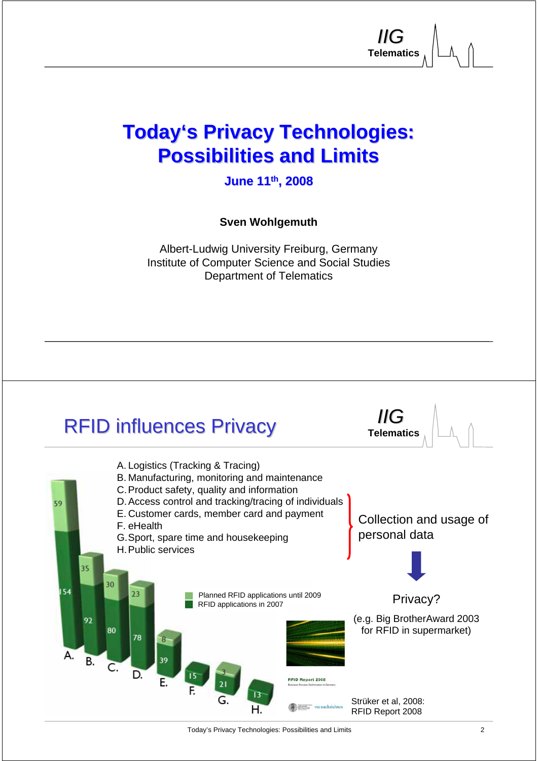### **Today's Privacy Technologies: Possibilities and Limits Possibilities and Limits**

**Telematics** *IIG*

**Telematics** *IIG*

**June 11 June 11th, 2008**

**Sven Wohlgemuth**

Albert-Ludwig University Freiburg, Germany Institute of Computer Science and Social Studies Department of Telematics

### **RFID influences Privacy**

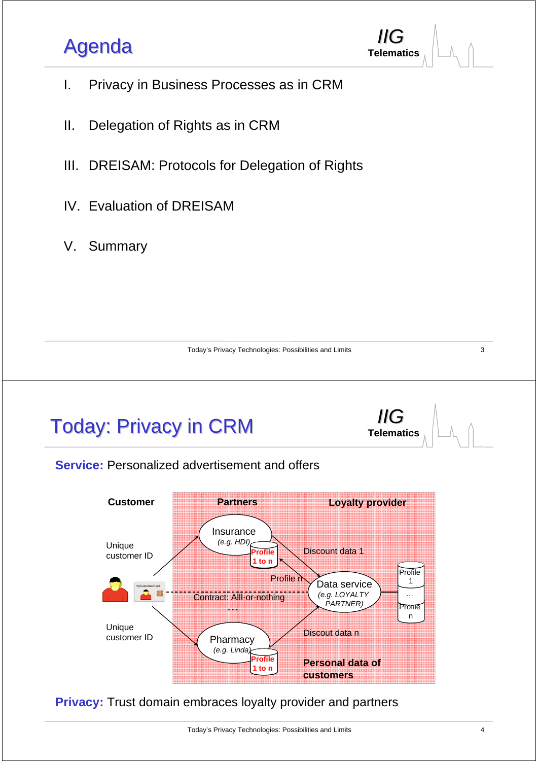### Agenda **Telematics**



- I. Privacy in Business Processes as in CRM
- II. Delegation of Rights as in CRM
- III. DREISAM: Protocols for Delegation of Rights
- IV. Evaluation of DREISAM
- V. Summary

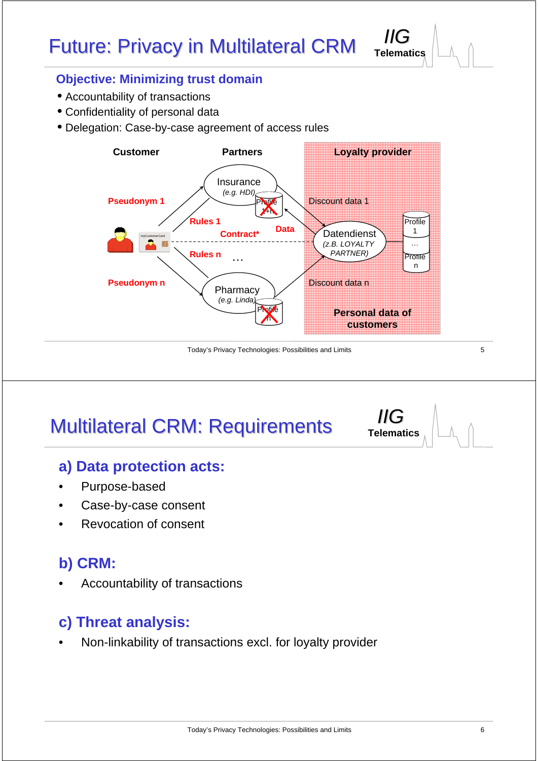### Future: Privacy in Multilateral CRM

#### **Objective: Minimizing trust domain**

- Accountability of transactions
- Confidentiality of personal data
- Delegation: Case-by-case agreement of access rules



Today's Privacy Technologies: Possibilities and Limits

# **Multilateral CRM: Requirements**

### **a) Data protection acts:**

- Purpose-based
- Case-by-case consent
- Revocation of consent

### **b) CRM:**

• Accountability of transactions

### **c) Threat analysis:**

• Non-linkability of transactions excl. for loyalty provider

5

**Telematics** *IIG*

**Telematics** *IIG*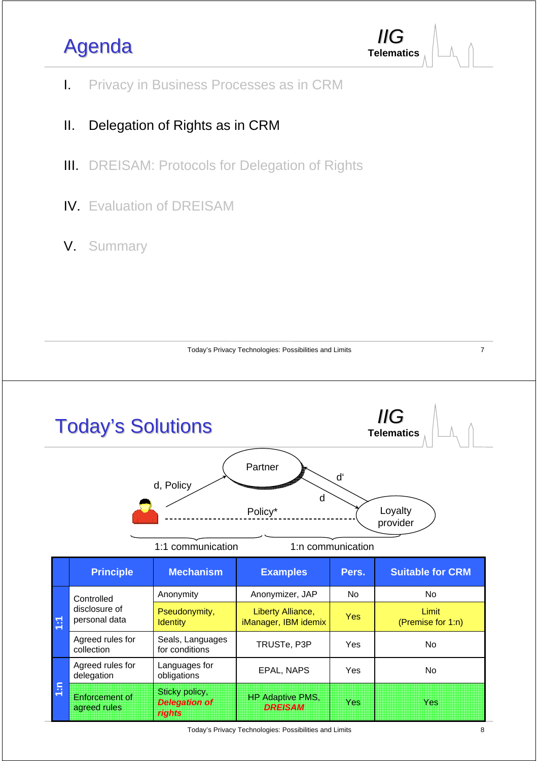## Agenda **Telematics**



- I. Privacy in Business Processes as in CRM
- II. Delegation of Rights as in CRM
- III. DREISAM: Protocols for Delegation of Rights
- IV. Evaluation of DREISAM
- V. Summary



Today's Privacy Technologies: Possibilities and Limits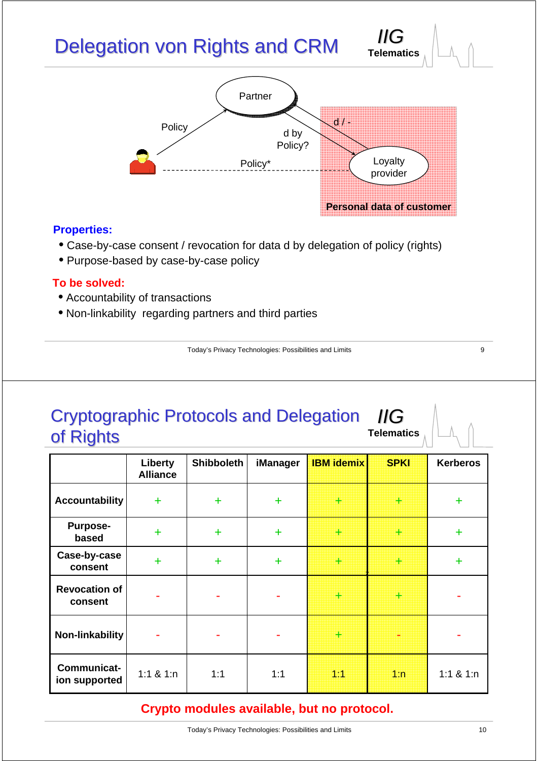# Delegation von Rights and CRM



**Telematics** *IIG*

#### **Properties:**

- Case-by-case consent / revocation for data d by delegation of policy (rights)
- Purpose-based by case-by-case policy

#### **To be solved:**

- Accountability of transactions
- Non-linkability regarding partners and third parties

Today's Privacy Technologies: Possibilities and Limits

#### Cryptographic Protocols and Delegation Cryptographic Protocols and Delegation of Rights **Telematics** *IIG*

|                                 | Liberty<br><b>Alliance</b> | <b>Shibboleth</b> | <b>iManager</b> | <b>IBM idemix</b> | <b>SPKI</b>    | <b>Kerberos</b> |
|---------------------------------|----------------------------|-------------------|-----------------|-------------------|----------------|-----------------|
| <b>Accountability</b>           | $+$                        | $\ddot{}$         | $\ddot{}$       | 33733             | en<br>Hi       | $\ddot{}$       |
| <b>Purpose-</b><br>based        | $\ddot{}$                  | $\ddag$           | $\ddot{}$       |                   | er             | $\ddot{}$       |
| Case-by-case<br>consent         | ÷                          | $\ddot{}$         | $\ddot{}$       | erang<br>Ma       | er<br>Geboorte | $\ddot{}$       |
| <b>Revocation of</b><br>consent |                            | ۰                 | ۰               | HI                | H              |                 |
| Non-linkability                 |                            | ۰                 | ۰               | erne<br>Geboortes |                |                 |
| Communicat-<br>ion supported    | 1:1 & 1:n                  | 1:1               | 1:1             | 1:1               | 1:n            | 1:1 & 1:n       |

### **Crypto modules available, but no protocol.**

9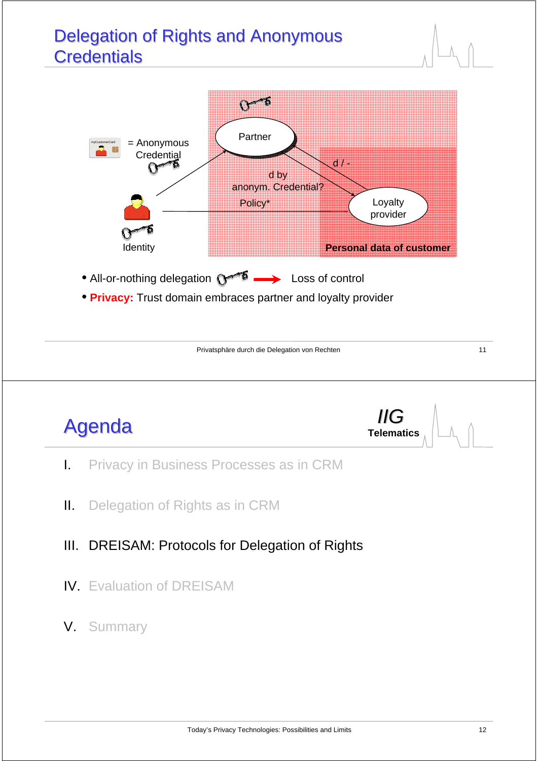### Delegation of Rights and Anonymous **Credentials**



• **Privacy:** Trust domain embraces partner and loyalty provider

Privatsphäre durch die Delegation von Rechten 11 auch 11

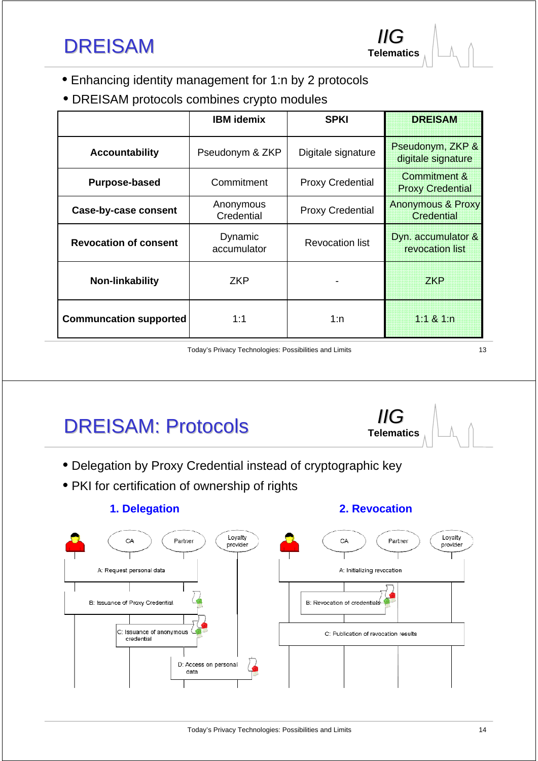- Enhancing identity management for 1:n by 2 protocols
- DREISAM protocols combines crypto modules

|                               | <b>IBM</b> idemix       | <b>SPKI</b>             | <b>DREISAM</b>                                     |
|-------------------------------|-------------------------|-------------------------|----------------------------------------------------|
| <b>Accountability</b>         | Pseudonym & ZKP         | Digitale signature      | Pseudonym, ZKP &<br>digitale signature             |
| <b>Purpose-based</b>          | Commitment              | <b>Proxy Credential</b> | <b>Commitment &amp;</b><br><b>Proxy Credential</b> |
| Case-by-case consent          | Anonymous<br>Credential | <b>Proxy Credential</b> | <b>Anonymous &amp; Proxy</b><br>Credential         |
| <b>Revocation of consent</b>  | Dynamic<br>accumulator  | Revocation list         | Dyn. accumulator &<br>revocation list              |
| Non-linkability               | <b>ZKP</b>              |                         | <b>ZKP</b>                                         |
| <b>Communcation supported</b> | 1:1                     | 1:n                     | $1:1 \& 1:n$                                       |

Today's Privacy Technologies: Possibilities and Limits

DREISAM: Protocols

- Delegation by Proxy Credential instead of cryptographic key
- PKI for certification of ownership of rights

#### **1. Delegation 2. Revocation**

**Telematics** *IIG*

**Telematics** *IIG*



13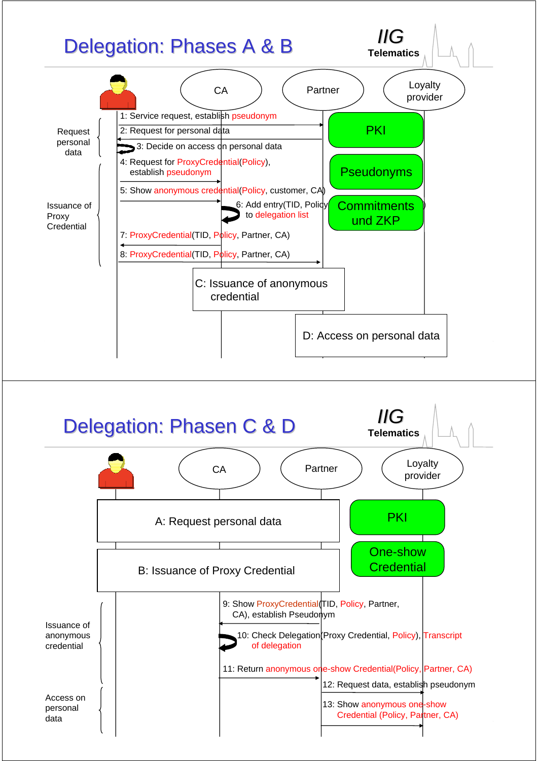

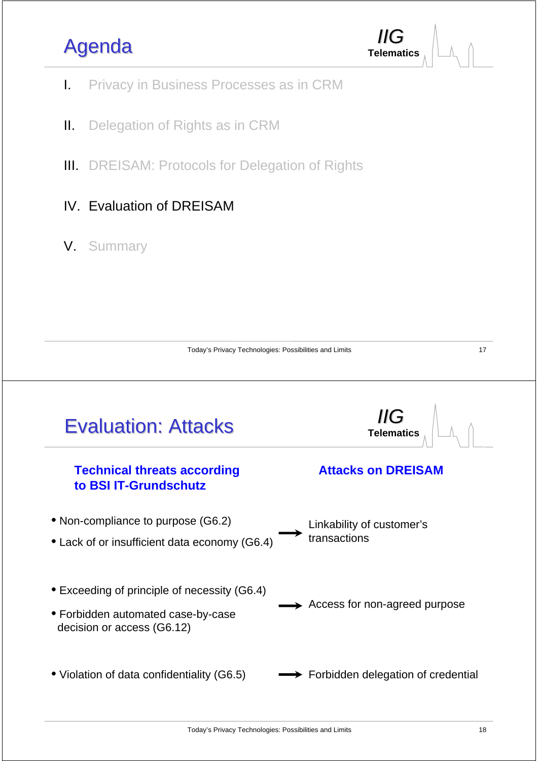### Agenda



- I. Privacy in Business Processes as in CRM
- II. Delegation of Rights as in CRM
- III. DREISAM: Protocols for Delegation of Rights
- IV. Evaluation of DREISAM
- V. Summary